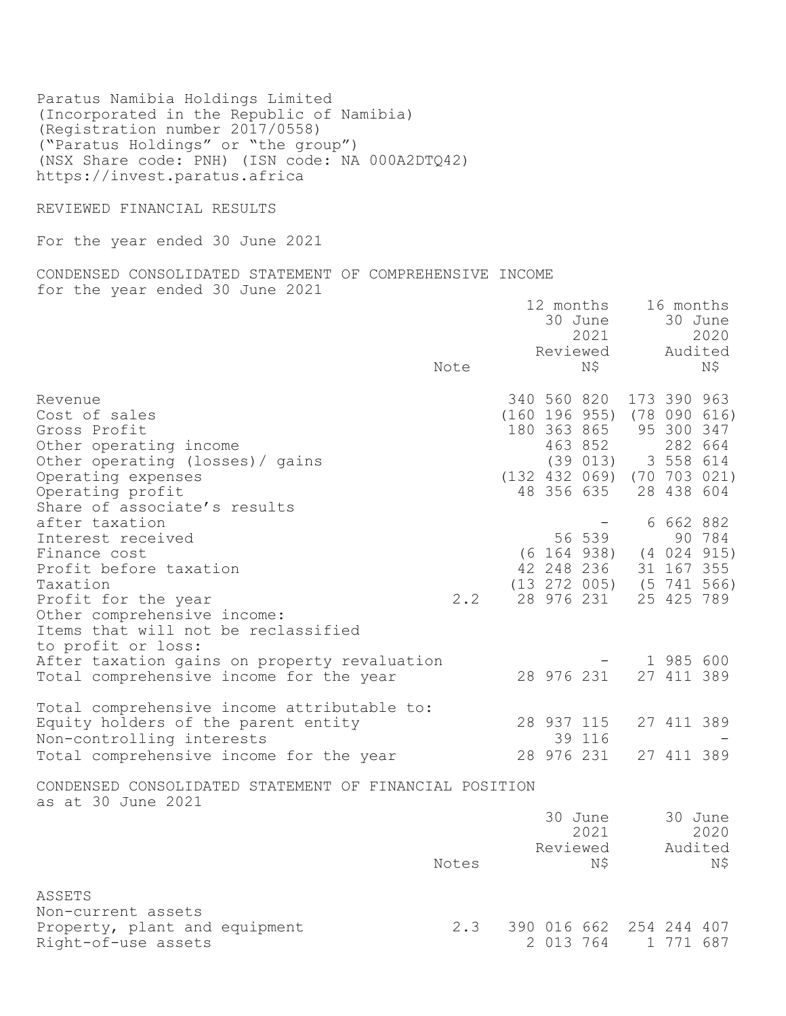Paratus Namibia Holdings Limited (Incorporated in the Republic of Namibia) (Registration number 2017/0558) ("Paratus Holdings" or "the group") (NSX Share code: PNH) (ISN code: NA 000A2DTQ42) https://invest.paratus.africa

REVIEWED FINANCIAL RESULTS

For the year ended 30 June 2021

CONDENSED CONSOLIDATED STATEMENT OF COMPREHENSIVE INCOME for the year ended 30 June 2021

|                                                                                                                 | Note  |           | 12 months<br>30 June<br>2021<br>Reviewed<br>NS –                                    | 16 months                | 30 June<br>2020<br>Audited<br>N\$ |
|-----------------------------------------------------------------------------------------------------------------|-------|-----------|-------------------------------------------------------------------------------------|--------------------------|-----------------------------------|
| Revenue<br>Cost of sales                                                                                        |       |           | 340 560 820<br>$(160 196 955)$ $(78 090 616)$                                       | 173 390 963              |                                   |
| Gross Profit<br>Other operating income                                                                          |       |           | 180 363 865<br>463 852                                                              | 95 300 347               | 282 664                           |
| Other operating (losses) / gains<br>Operating expenses                                                          |       |           | $(39\ 013)$ 3 558 614<br>$(132 432 069)$ $(70 703 021)$                             |                          |                                   |
| Operating profit<br>Share of associate's results                                                                |       |           | 48 356 635                                                                          | 28 438 604               |                                   |
| after taxation<br>Interest received<br>Finance cost<br>Profit before taxation<br>Taxation                       |       |           | 56 539<br>$(6 164 938)$ $(4 024 915)$<br>42 248 236<br>$(13 272 005)$ $(5 741 566)$ | 6 662 882<br>31 167 355  | 90 784                            |
| Profit for the year<br>Other comprehensive income:<br>Items that will not be reclassified<br>to profit or loss: | 2.2   |           | 28 976 231                                                                          | 25 425 789               |                                   |
| After taxation gains on property revaluation<br>Total comprehensive income for the year                         |       |           | 28 976 231                                                                          | 1 985 600<br>27 411 389  |                                   |
| Total comprehensive income attributable to:<br>Equity holders of the parent entity<br>Non-controlling interests |       |           | 28 937 115<br>39 116                                                                | 27 411 389               |                                   |
| Total comprehensive income for the year                                                                         |       |           | 28 976 231                                                                          | 27 411 389               |                                   |
| CONDENSED CONSOLIDATED STATEMENT OF FINANCIAL POSITION<br>as at 30 June 2021                                    |       |           |                                                                                     |                          |                                   |
|                                                                                                                 |       |           | 30 June<br>2021                                                                     |                          | 30 June<br>2020                   |
|                                                                                                                 | Notes |           | Reviewed<br>N\$                                                                     |                          | Audited<br>Ν\$                    |
| ASSETS                                                                                                          |       |           |                                                                                     |                          |                                   |
| Non-current assets<br>Property, plant and equipment<br>Right-of-use assets                                      | 2.3   | 2 013 764 | 390 016 662                                                                         | 254 244 407<br>1 771 687 |                                   |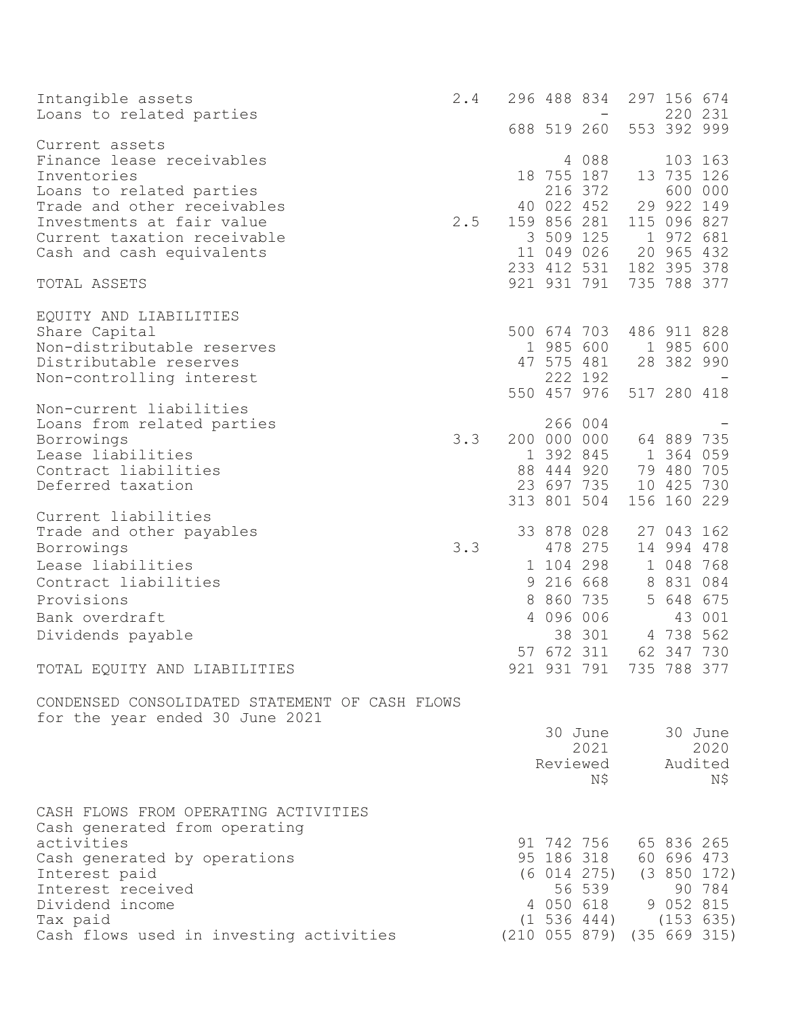| Intangible assets<br>Loans to related parties                                     | 2.4 |   |            | 296 488 834                                   |   | 297 156 674               | 220 231             |
|-----------------------------------------------------------------------------------|-----|---|------------|-----------------------------------------------|---|---------------------------|---------------------|
|                                                                                   |     |   |            | 688 519 260                                   |   | 553 392 999               |                     |
| Current assets<br>Finance lease receivables<br>Inventories                        |     |   |            | 4 0 8 8<br>18 755 187                         |   | 13 735 126                | 103 163             |
| Loans to related parties                                                          |     |   |            | 216 372                                       |   |                           | 600 000             |
| Trade and other receivables<br>Investments at fair value                          | 2.5 |   |            | 40 022 452<br>159 856 281                     |   | 29 922 149<br>115 096 827 |                     |
| Current taxation receivable                                                       |     |   |            | 3 509 125                                     |   | 1 972 681                 |                     |
| Cash and cash equivalents                                                         |     |   |            | 11 049 026                                    |   | 20 965 432                |                     |
| TOTAL ASSETS                                                                      |     |   |            | 233 412 531 182 395 378<br>921 931 791        |   | 735 788 377               |                     |
| EQUITY AND LIABILITIES                                                            |     |   |            |                                               |   |                           |                     |
| Share Capital                                                                     |     |   |            | 500 674 703                                   |   | 486 911 828               |                     |
| Non-distributable reserves                                                        |     |   |            | 1 985 600                                     |   | 1 985 600                 |                     |
| Distributable reserves<br>Non-controlling interest                                |     |   |            | 47 575 481<br>222 192                         |   | 28 382 990                |                     |
|                                                                                   |     |   |            | 550 457 976                                   |   | 517 280 418               |                     |
| Non-current liabilities                                                           |     |   |            |                                               |   |                           |                     |
| Loans from related parties                                                        |     |   |            | 266 004                                       |   |                           |                     |
| Borrowings<br>Lease liabilities                                                   | 3.3 |   |            | 200 000 000 64 889 735<br>1 392 845 1 364 059 |   |                           |                     |
| Contract liabilities                                                              |     |   |            | 88 444 920                                    |   | 79 480 705                |                     |
| Deferred taxation                                                                 |     |   |            | 23 697 735                                    |   | 10 425 730                |                     |
| Current liabilities                                                               |     |   |            | 313 801 504                                   |   | 156 160 229               |                     |
| Trade and other payables                                                          |     |   |            | 33 878 028                                    |   | 27 043 162                |                     |
| Borrowings                                                                        | 3.3 |   |            | 478 275                                       |   | 14 994 478                |                     |
| Lease liabilities                                                                 |     |   |            | 1 104 298                                     |   | 1 048 768                 |                     |
| Contract liabilities                                                              |     | 9 |            | 216 668                                       | 8 | 831 084                   |                     |
| Provisions                                                                        |     | 8 |            | 860 735                                       | 5 | 648 675                   |                     |
| Bank overdraft                                                                    |     | 4 |            | 096 006                                       |   |                           | 43 001              |
| Dividends payable                                                                 |     |   |            | 38 301                                        |   | 4 738 562                 |                     |
|                                                                                   |     |   | 57 672 311 |                                               |   | 62 347 730                |                     |
| TOTAL EQUITY AND LIABILITIES                                                      |     |   |            | 921 931 791 735 788 377                       |   |                           |                     |
| CONDENSED CONSOLIDATED STATEMENT OF CASH FLOWS<br>for the year ended 30 June 2021 |     |   |            |                                               |   |                           |                     |
|                                                                                   |     |   |            | 30 June                                       |   |                           | 30 June             |
|                                                                                   |     |   |            | 2021<br>Reviewed                              |   |                           | 2020<br>Audited     |
|                                                                                   |     |   |            | N\$                                           |   |                           | N\$                 |
| CASH FLOWS FROM OPERATING ACTIVITIES<br>Cash generated from operating             |     |   |            |                                               |   |                           |                     |
| activities                                                                        |     |   |            | 91 742 756                                    |   |                           | 65 836 265          |
| Cash generated by operations                                                      |     |   |            | 95 186 318 60 696 473                         |   |                           |                     |
| Interest paid                                                                     |     |   |            | $(6 014 275)$ $(3 850 172)$                   |   |                           |                     |
| Interest received<br>Dividend income                                              |     |   |            | 56 539<br>4 050 618                           |   |                           | 90 784<br>9 052 815 |
| Tax paid                                                                          |     |   |            | $(1\ 536\ 444)$ $(153\ 635)$                  |   |                           |                     |
| Cash flows used in investing activities                                           |     |   |            | $(210 055 879)$ $(35 669 315)$                |   |                           |                     |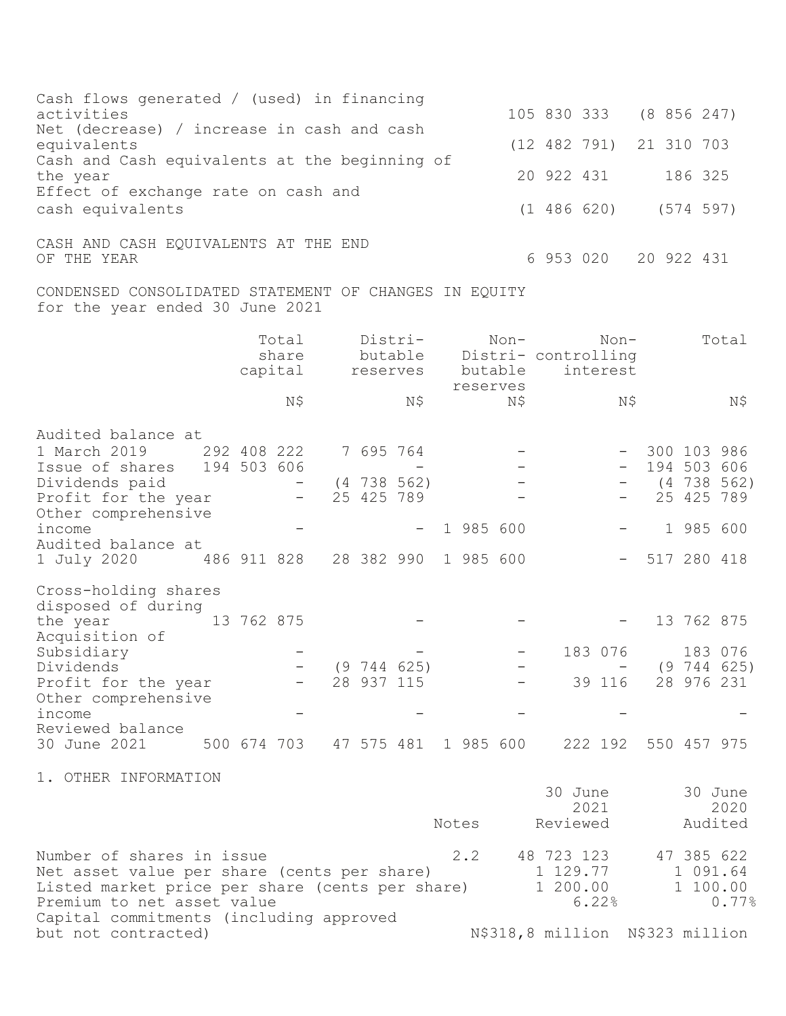| Cash flows generated / (used) in financing<br>activities                                                                                                  |             |            |                            |                                  |           |                               |             |      | 105 830 333                        |                    | (8856247)           |             |                                               |
|-----------------------------------------------------------------------------------------------------------------------------------------------------------|-------------|------------|----------------------------|----------------------------------|-----------|-------------------------------|-------------|------|------------------------------------|--------------------|---------------------|-------------|-----------------------------------------------|
| Net (decrease) / increase in cash and cash<br>equivalents                                                                                                 |             |            |                            |                                  |           |                               |             |      | (12 482 791) 21 310 703            |                    |                     |             |                                               |
| Cash and Cash equivalents at the beginning of<br>the year                                                                                                 |             |            |                            |                                  |           |                               |             |      | 20 922 431                         |                    |                     | 186 325     |                                               |
| Effect of exchange rate on cash and<br>cash equivalents                                                                                                   |             |            |                            |                                  |           |                               |             |      | $(1 486 620)$ $(574 597)$          |                    |                     |             |                                               |
| CASH AND CASH EQUIVALENTS AT THE END<br>OF THE YEAR                                                                                                       |             |            |                            |                                  |           |                               |             |      | 6 953 020                          |                    | 20 922 431          |             |                                               |
| CONDENSED CONSOLIDATED STATEMENT OF CHANGES IN EQUITY<br>for the year ended 30 June 2021                                                                  |             |            |                            |                                  |           |                               |             |      |                                    |                    |                     |             |                                               |
|                                                                                                                                                           |             |            | Total<br>share<br>capital  |                                  |           | Distri-<br>reserves           | butable     | Non- | butable Distri- controlling        | $Non-$<br>interest |                     |             | Total                                         |
|                                                                                                                                                           |             |            | Ν\$                        |                                  |           | N\$                           | reserves    | Ν\$  |                                    | Ν\$                |                     |             | Ν\$                                           |
| Audited balance at                                                                                                                                        |             |            |                            |                                  |           |                               |             |      |                                    |                    |                     |             |                                               |
| 1 March 2019<br>Issue of shares<br>Dividends paid<br>Profit for the year                                                                                  |             |            | 292 408 222<br>194 503 606 |                                  | 7 695 764 | $(4\ 738\ 562)$<br>25 425 789 |             |      |                                    |                    |                     | 25 425 789  | 300 103 986<br>194 503 606<br>$(4\ 738\ 562)$ |
| Other comprehensive<br>income                                                                                                                             |             |            |                            |                                  |           |                               | 1 985 600   |      |                                    |                    |                     | 1 985 600   |                                               |
| Audited balance at<br>1 July 2020                                                                                                                         | 486 911 828 |            |                            |                                  |           | 28 382 990                    | 1 985 600   |      |                                    |                    |                     | 517 280 418 |                                               |
| Cross-holding shares                                                                                                                                      |             |            |                            |                                  |           |                               |             |      |                                    |                    |                     |             |                                               |
| disposed of during<br>the year<br>Acquisition of                                                                                                          |             | 13 762 875 |                            |                                  |           |                               |             |      |                                    |                    |                     | 13 762 875  |                                               |
| Subsidiary<br>Dividends                                                                                                                                   |             |            |                            |                                  |           | $(9\ 744\ 625)$               |             |      |                                    | 183 076            |                     |             | 183 076<br>(9744625)                          |
| Profit for the year<br>Other comprehensive                                                                                                                |             |            |                            |                                  |           | 28 937 115                    |             |      |                                    | 39 116             |                     |             | 28 976 231                                    |
| income<br>Reviewed balance                                                                                                                                |             |            |                            |                                  |           |                               |             |      |                                    |                    |                     |             |                                               |
| 30 June 2021                                                                                                                                              |             |            |                            | 500 674 703 47 575 481 1 985 600 |           |                               |             |      |                                    |                    | 222 192 550 457 975 |             |                                               |
| 1. OTHER INFORMATION                                                                                                                                      |             |            |                            |                                  |           |                               |             |      | 30 June                            | 2021               |                     |             | 30 June<br>2020                               |
|                                                                                                                                                           |             |            |                            |                                  |           |                               | Notes       |      | Reviewed                           |                    |                     |             | Audited                                       |
| Number of shares in issue<br>Net asset value per share (cents per share)<br>Listed market price per share (cents per share)<br>Premium to net asset value |             |            |                            |                                  |           |                               | $2 \cdot 2$ |      | 48 723 123<br>1 129.77<br>1 200.00 | 6.22%              |                     |             | 47 385 622<br>1 091.64<br>1 100.00<br>0.77%   |
| Capital commitments (including approved<br>but not contracted)                                                                                            |             |            |                            |                                  |           |                               |             |      | N\$318,8 million N\$323 million    |                    |                     |             |                                               |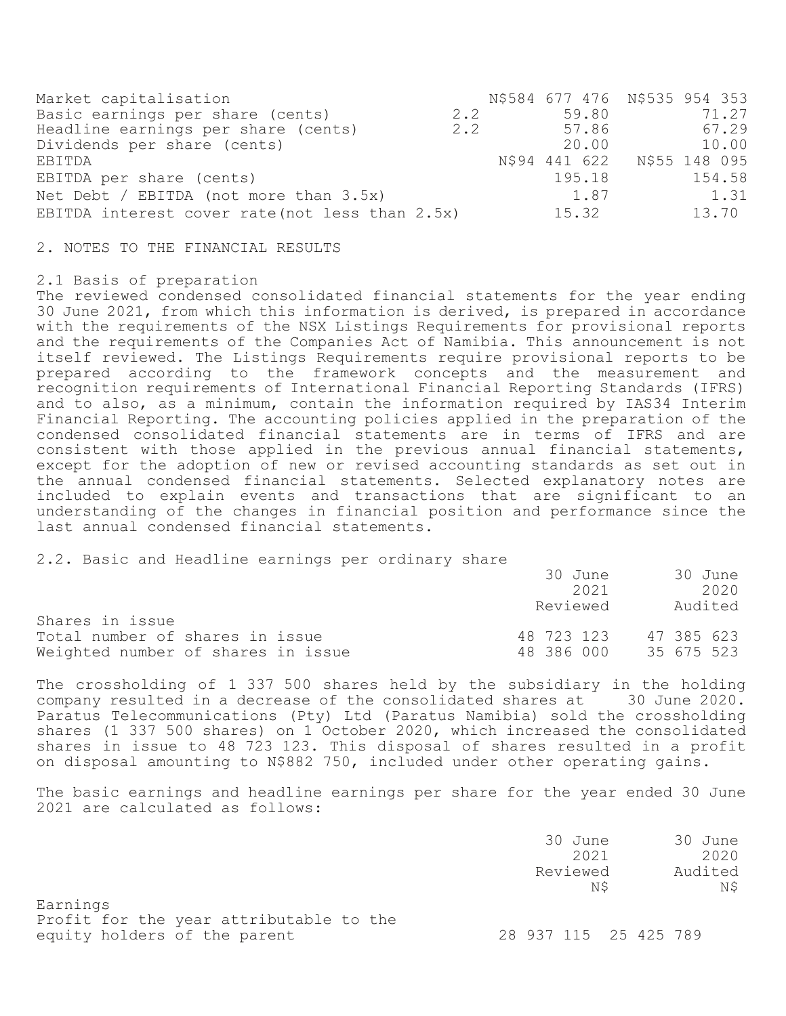| Market capitalisation                           |     |        | N\$584 677 476 N\$535 954 353 |
|-------------------------------------------------|-----|--------|-------------------------------|
| Basic earnings per share (cents)                | 2.2 | 59.80  | 71.27                         |
| Headline earnings per share (cents)             | 2.2 | 57.86  | 67.29                         |
| Dividends per share (cents)                     |     | 20.00  | 10.00                         |
| EBITDA                                          |     |        | N\$94 441 622 N\$55 148 095   |
| EBITDA per share (cents)                        |     | 195.18 | 154.58                        |
| Net Debt / EBITDA (not more than $3.5x$ )       |     | 1.87   | 1.31                          |
| EBITDA interest cover rate (not less than 2.5x) |     | 15.32  | 13.70                         |

2. NOTES TO THE FINANCIAL RESULTS

### 2.1 Basis of preparation

The reviewed condensed consolidated financial statements for the year ending 30 June 2021, from which this information is derived, is prepared in accordance with the requirements of the NSX Listings Requirements for provisional reports and the requirements of the Companies Act of Namibia. This announcement is not itself reviewed. The Listings Requirements require provisional reports to be prepared according to the framework concepts and the measurement and recognition requirements of International Financial Reporting Standards (IFRS) and to also, as a minimum, contain the information required by IAS34 Interim Financial Reporting. The accounting policies applied in the preparation of the condensed consolidated financial statements are in terms of IFRS and are consistent with those applied in the previous annual financial statements, except for the adoption of new or revised accounting standards as set out in the annual condensed financial statements. Selected explanatory notes are included to explain events and transactions that are significant to an understanding of the changes in financial position and performance since the last annual condensed financial statements.

2.2. Basic and Headline earnings per ordinary share

|                                    | 30 June    | 30 June    |
|------------------------------------|------------|------------|
|                                    | 2021       | 2020       |
|                                    | Reviewed   | Audited    |
| Shares in issue                    |            |            |
| Total number of shares in issue    | 48 723 123 | 47 385 623 |
| Weighted number of shares in issue | 48 386 000 | 35 675 523 |

The crossholding of 1 337 500 shares held by the subsidiary in the holding company resulted in a decrease of the consolidated shares at 30 June 2020. Paratus Telecommunications (Pty) Ltd (Paratus Namibia) sold the crossholding shares (1 337 500 shares) on 1 October 2020, which increased the consolidated shares in issue to 48 723 123. This disposal of shares resulted in a profit on disposal amounting to N\$882 750, included under other operating gains.

The basic earnings and headline earnings per share for the year ended 30 June 2021 are calculated as follows:

|                                                                                     | 30 June<br>2021<br>Reviewed<br>ΝS | 30 June<br>2020<br>Audited<br>N\$ |
|-------------------------------------------------------------------------------------|-----------------------------------|-----------------------------------|
| Earnings<br>Profit for the year attributable to the<br>equity holders of the parent | 28 937 115 25 425 789             |                                   |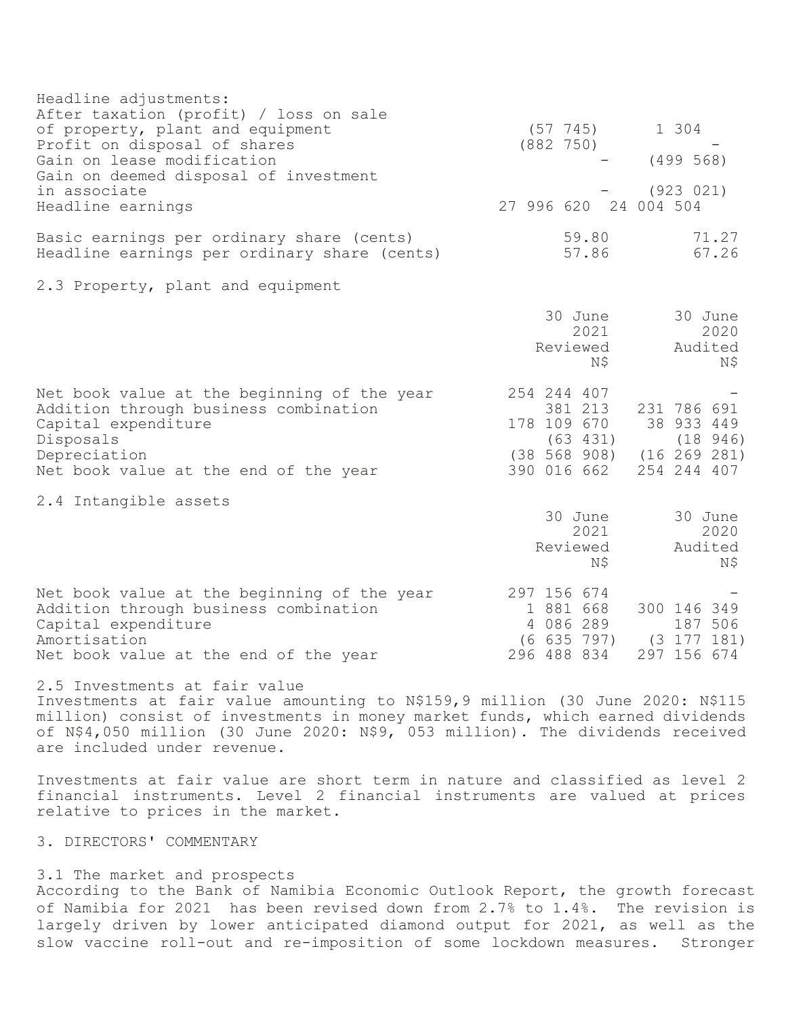| Headline adjustments:<br>After taxation (profit) / loss on sale<br>of property, plant and equipment<br>Profit on disposal of shares<br>Gain on lease modification<br>Gain on deemed disposal of investment<br>in associate                                                                                      | $(57 \t745)$<br>1 304<br>(882 750)<br>(499 568)<br>(923 021)                                                                                       |  |
|-----------------------------------------------------------------------------------------------------------------------------------------------------------------------------------------------------------------------------------------------------------------------------------------------------------------|----------------------------------------------------------------------------------------------------------------------------------------------------|--|
| Headline earnings                                                                                                                                                                                                                                                                                               | 27 996 620 24 004 504                                                                                                                              |  |
| Basic earnings per ordinary share (cents)<br>Headline earnings per ordinary share (cents)                                                                                                                                                                                                                       | 59.80<br>71.27<br>57.86<br>67.26                                                                                                                   |  |
| 2.3 Property, plant and equipment                                                                                                                                                                                                                                                                               |                                                                                                                                                    |  |
|                                                                                                                                                                                                                                                                                                                 | 30 June<br>30 June<br>2021<br>2020<br>Reviewed<br>Audited<br>N\$<br>Ν\$                                                                            |  |
| Net book value at the beginning of the year<br>Addition through business combination<br>Capital expenditure<br>Disposals<br>Depreciation<br>Net book value at the end of the year                                                                                                                               | 254 244 407<br>381 213<br>231 786 691<br>178 109 670 38 933 449<br>(63 431)<br>(18946)<br>$(38 568 908)$ $(16 269 281)$<br>390 016 662 254 244 407 |  |
| 2.4 Intangible assets                                                                                                                                                                                                                                                                                           | 30 June<br>30 June<br>2021<br>2020<br>Reviewed<br>Audited<br>Ν\$<br>Ν\$                                                                            |  |
| Net book value at the beginning of the year<br>Addition through business combination<br>Capital expenditure<br>Amortisation<br>Net book value at the end of the year                                                                                                                                            | 297 156 674<br>1 881 668<br>300 146 349<br>4 086 289<br>187 506<br>$(6 635 797)$ $(3 177 181)$<br>296 488 834<br>297 156 674                       |  |
| 2.5 Investments at fair value<br>Investments at fair value amounting to N\$159,9 million (30 June 2020: N\$115<br>million) consist of investments in money market funds, which earned dividends<br>of N\$4,050 million (30 June 2020: N\$9, 053 million). The dividends received<br>are included under revenue. |                                                                                                                                                    |  |
| Investments at fair value are short term in nature and classified as level 2<br>financial instruments. Level 2 financial instruments are valued at prices<br>relative to prices in the market.                                                                                                                  |                                                                                                                                                    |  |
| 3. DIRECTORS' COMMENTARY                                                                                                                                                                                                                                                                                        |                                                                                                                                                    |  |
| 3.1 The market and prospects                                                                                                                                                                                                                                                                                    |                                                                                                                                                    |  |

According to the Bank of Namibia Economic Outlook Report, the growth forecast of Namibia for 2021 has been revised down from 2.7% to 1.4%. The revision is largely driven by lower anticipated diamond output for 2021, as well as the slow vaccine roll-out and re-imposition of some lockdown measures. Stronger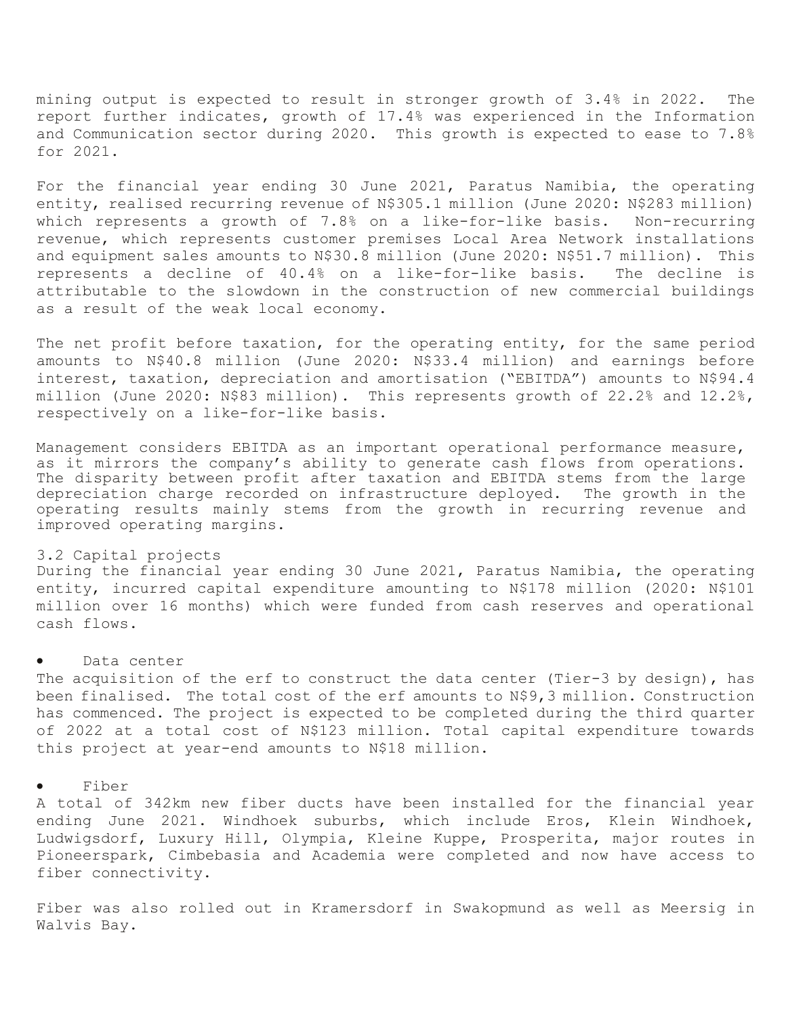mining output is expected to result in stronger growth of 3.4% in 2022. The report further indicates, growth of 17.4% was experienced in the Information and Communication sector during 2020. This growth is expected to ease to 7.8% for 2021.

For the financial year ending 30 June 2021, Paratus Namibia, the operating entity, realised recurring revenue of N\$305.1 million (June 2020: N\$283 million) which represents a growth of 7.8% on a like-for-like basis. Non-recurring revenue, which represents customer premises Local Area Network installations and equipment sales amounts to N\$30.8 million (June 2020: N\$51.7 million). This represents a decline of 40.4% on a like-for-like basis. The decline is attributable to the slowdown in the construction of new commercial buildings as a result of the weak local economy.

The net profit before taxation, for the operating entity, for the same period amounts to N\$40.8 million (June 2020: N\$33.4 million) and earnings before interest, taxation, depreciation and amortisation ("EBITDA") amounts to N\$94.4 million (June 2020: N\$83 million). This represents growth of 22.2% and 12.2%, respectively on a like-for-like basis.

Management considers EBITDA as an important operational performance measure, as it mirrors the company's ability to generate cash flows from operations. The disparity between profit after taxation and EBITDA stems from the large depreciation charge recorded on infrastructure deployed. The growth in the operating results mainly stems from the growth in recurring revenue and improved operating margins.

# 3.2 Capital projects

During the financial year ending 30 June 2021, Paratus Namibia, the operating entity, incurred capital expenditure amounting to N\$178 million (2020: N\$101 million over 16 months) which were funded from cash reserves and operational cash flows.

### Data center

The acquisition of the erf to construct the data center (Tier-3 by design), has been finalised. The total cost of the erf amounts to N\$9,3 million. Construction has commenced. The project is expected to be completed during the third quarter of 2022 at a total cost of N\$123 million. Total capital expenditure towards this project at year-end amounts to N\$18 million.

### • Fiber

A total of 342km new fiber ducts have been installed for the financial year ending June 2021. Windhoek suburbs, which include Eros, Klein Windhoek, Ludwigsdorf, Luxury Hill, Olympia, Kleine Kuppe, Prosperita, major routes in Pioneerspark, Cimbebasia and Academia were completed and now have access to fiber connectivity.

Fiber was also rolled out in Kramersdorf in Swakopmund as well as Meersig in Walvis Bay.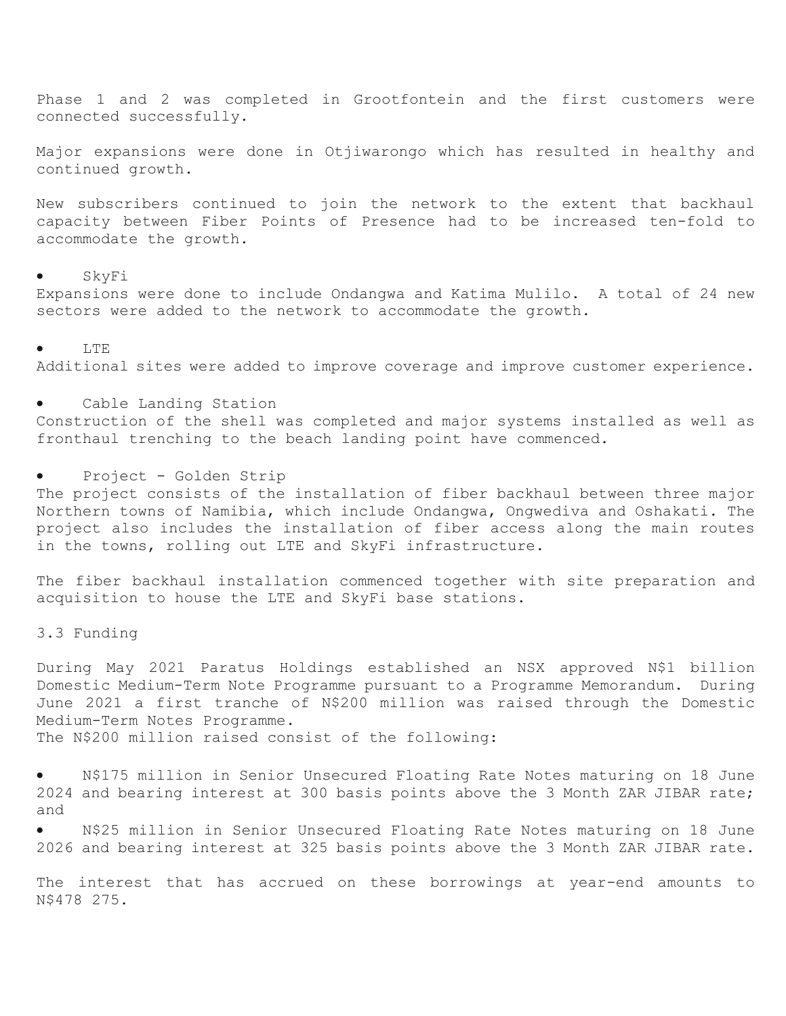Phase 1 and 2 was completed in Grootfontein and the first customers were connected successfully.

Major expansions were done in Otjiwarongo which has resulted in healthy and continued growth.

New subscribers continued to join the network to the extent that backhaul capacity between Fiber Points of Presence had to be increased ten-fold to accommodate the growth.

## • SkyFi

Expansions were done to include Ondangwa and Katima Mulilo. A total of 24 new sectors were added to the network to accommodate the growth.

#### • LTE

Additional sites were added to improve coverage and improve customer experience.

Cable Landing Station Construction of the shell was completed and major systems installed as well as fronthaul trenching to the beach landing point have commenced.

Project - Golden Strip

The project consists of the installation of fiber backhaul between three major Northern towns of Namibia, which include Ondangwa, Ongwediva and Oshakati. The project also includes the installation of fiber access along the main routes in the towns, rolling out LTE and SkyFi infrastructure.

The fiber backhaul installation commenced together with site preparation and acquisition to house the LTE and SkyFi base stations.

3.3 Funding

During May 2021 Paratus Holdings established an NSX approved N\$1 billion Domestic Medium-Term Note Programme pursuant to a Programme Memorandum. During June 2021 a first tranche of N\$200 million was raised through the Domestic Medium-Term Notes Programme.

The N\$200 million raised consist of the following:

• N\$175 million in Senior Unsecured Floating Rate Notes maturing on 18 June 2024 and bearing interest at 300 basis points above the 3 Month ZAR JIBAR rate; and

N\$25 million in Senior Unsecured Floating Rate Notes maturing on 18 June 2026 and bearing interest at 325 basis points above the 3 Month ZAR JIBAR rate.

The interest that has accrued on these borrowings at year-end amounts to N\$478 275.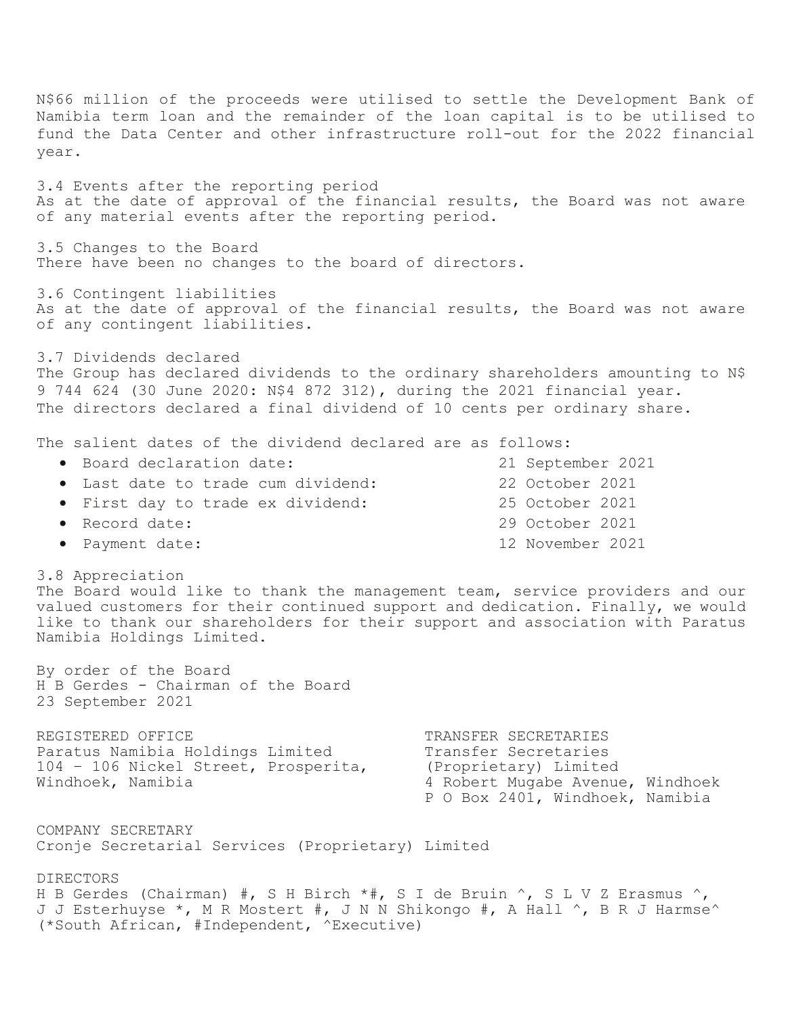N\$66 million of the proceeds were utilised to settle the Development Bank of Namibia term loan and the remainder of the loan capital is to be utilised to fund the Data Center and other infrastructure roll-out for the 2022 financial year. 3.4 Events after the reporting period As at the date of approval of the financial results, the Board was not aware of any material events after the reporting period. 3.5 Changes to the Board There have been no changes to the board of directors. 3.6 Contingent liabilities As at the date of approval of the financial results, the Board was not aware of any contingent liabilities. 3.7 Dividends declared The Group has declared dividends to the ordinary shareholders amounting to N\$ 9 744 624 (30 June 2020: N\$4 872 312), during the 2021 financial year. The directors declared a final dividend of 10 cents per ordinary share. The salient dates of the dividend declared are as follows: • Board declaration date: 21 September 2021 • Last date to trade cum dividend: 22 October 2021 • First day to trade ex dividend: 25 October 2021 • Record date: 29 October 2021 • Payment date: 12 November 2021 3.8 Appreciation The Board would like to thank the management team, service providers and our valued customers for their continued support and dedication. Finally, we would like to thank our shareholders for their support and association with Paratus Namibia Holdings Limited. By order of the Board H B Gerdes - Chairman of the Board 23 September 2021 REGISTERED OFFICE TRANSFER SECRETARIES Paratus Namibia Holdings Limited Transfer Secretaries 104 – 106 Nickel Street, Prosperita, (Proprietary) Limited Windhoek, Namibia 4 Robert Mugabe Avenue, Windhoek P O Box 2401, Windhoek, Namibia COMPANY SECRETARY Cronje Secretarial Services (Proprietary) Limited DIRECTORS H B Gerdes (Chairman) #, S H Birch \*#, S I de Bruin ^, S L V Z Erasmus ^, J J Esterhuyse \*, M R Mostert #, J N N Shikongo #, A Hall ^, B R J Harmse^ (\*South African, #Independent, ^Executive)